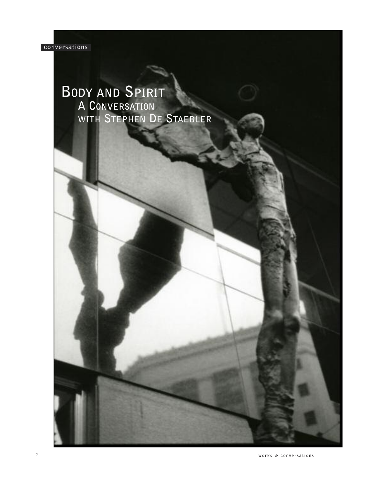

# **BODY AND SPIRIT A CONVERSATION WITH STEPHEN DE STAEBLER**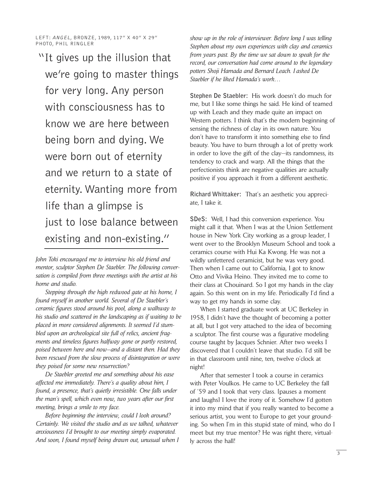LEFT: ANGEL, BRONZE, 1989, 117" X 40" X 29" PHOTO, PHIL RINGLER

"It gives up the illusion that we're going to master things for very long. Any person with consciousness has to know we are here between being born and dying. We were born out of eternity and we return to a state of eternity. Wanting more from life than a glimpse is just to lose balance between existing and non-existing."

*John Toki encouraged me to interview his old friend and mentor, sculptor Stephen De Staebler. The following conversation is compiled from three meetings with the artist at his home and studio.*

*Stepping through the high redwood gate at his home, I found myself in another world. Several of De Staebler's ceramic figures stood around his pool, along a walkway to his studio and scattered in the landscaping as if waiting to be placed in more considered alignments. It seemed I'd stumbled upon an archeological site full of relics, ancient fragments and timeless figures halfway gone or partly restored, poised between here and now—and a distant then. Had they been rescued from the slow process of disintegration or were they poised for some new resurrection?*

*De Staebler greeted me and something about his ease affected me immediately. There's a quality about him, I found, a presence, that's quietly irresistible. One falls under the man's spell, which even now, two years after our first meeting, brings a smile to my face.*

*Before beginning the interview, could I look around? Certainly. We visited the studio and as we talked, whatever anxiousness I'd brought to our meeting simply evaporated. And soon, I found myself being drawn out, unusual when I* *show up in the role of interviewer. Before long I was telling Stephen about my own experiences with clay and ceramics from years past. By the time we sat down to speak for the record, our conversation had come around to the legendary potters Shoji Hamada and Bernard Leach. I asked De Staebler if he liked Hamada's work…*

**Stephen De Staebler:** His work doesn't do much for me, but I like some things he said. He kind of teamed up with Leach and they made quite an impact on Western potters. I think that's the modern beginning of sensing the richness of clay in its own nature. You don't have to transform it into something else to find beauty. You have to burn through a lot of pretty work in order to love the gift of the clay—its randomness, its tendency to crack and warp. All the things that the perfectionists think are negative qualities are actually positive if you approach it from a different aesthetic.

**Richard Whittaker:** That's an aesthetic you appreciate, I take it.

**SDeS:** Well, I had this conversion experience. You might call it that. When I was at the Union Settlement house in New York City working as a group leader, I went over to the Brooklyn Museum School and took a ceramics course with Hui Ka Kwong. He was not a wildly unfettered ceramicist, but he was very good. Then when I came out to California, I got to know Otto and Vivika Heino. They invited me to come to their class at Chouinard. So I got my hands in the clay again. So this went on in my life. Periodically I'd find a way to get my hands in some clay.

When I started graduate work at UC Berkeley in 1958, I didn't have the thought of becoming a potter at all, but I got very attached to the idea of becoming a sculptor. The first course was a figurative modeling course taught by Jacques Schnier. After two weeks I discovered that I couldn't leave that studio. I'd still be in that classroom until nine, ten, twelve o'clock at night!

After that semester I took a course in ceramics with Peter Voulkos. He came to UC Berkeley the fall of '59 and I took that very class. [pauses a moment and laughs] I love the irony of it. Somehow I'd gotten it into my mind that if you really wanted to become a serious artist, you went to Europe to get your grounding. So when I'm in this stupid state of mind, who do I meet but my true mentor? He was right there, virtually across the hall!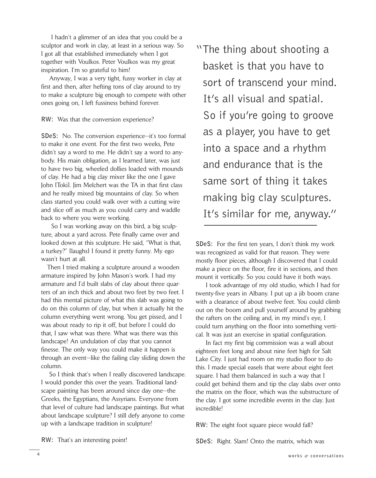I hadn't a glimmer of an idea that you could be a sculptor and work in clay, at least in a serious way. So I got all that established immediately when I got together with Voulkos. Peter Voulkos was my great inspiration. I'm so grateful to him!

Anyway, I was a very tight, fussy worker in clay at first and then, after hefting tons of clay around to try to make a sculpture big enough to compete with other ones going on, I left fussiness behind forever.

**RW:** Was that the conversion experience?

**SDeS:** No. The conversion experience—it's too formal to make it one event. For the first two weeks, Pete didn't say a word to me. He didn't say a word to anybody. His main obligation, as I learned later, was just to have two big, wheeled dollies loaded with mounds of clay. He had a big clay mixer like the one I gave John [Toki]. Jim Melchert was the TA in that first class and he really mixed big mountains of clay. So when class started you could walk over with a cutting wire and slice off as much as you could carry and waddle back to where you were working.

So I was working away on this bird, a big sculpture, about a yard across. Pete finally came over and looked down at this sculpture. He said, "What is that, a turkey?" [laughs] I found it pretty funny. My ego wasn't hurt at all.

Then I tried making a sculpture around a wooden armature inspired by John Mason's work. I had my armature and I'd built slabs of clay about three quarters of an inch thick and about two feet by two feet. I had this mental picture of what this slab was going to do on this column of clay, but when it actually hit the column everything went wrong. You get pissed, and I was about ready to rip it off, but before I could do that, I saw what was there. What was there was this landscape! An undulation of clay that you cannot finesse. The only way you could make it happen is through an event—like the failing clay sliding down the column.

So I think that's when I really discovered landscape. I would ponder this over the years. Traditional landscape painting has been around since day one—the Greeks, the Egyptians, the Assyrians. Everyone from that level of culture had landscape paintings. But what about landscape sculpture? I still defy anyone to come up with a landscape tradition in sculpture!

"The thing about shooting a basket is that you have to sort of transcend your mind. It's all visual and spatial. So if you're going to groove as a player, you have to get into a space and a rhythm and endurance that is the same sort of thing it takes making big clay sculptures. It's similar for me, anyway."

**SDeS:** For the first ten years, I don't think my work was recognized as valid for that reason. They were mostly floor pieces, although I discovered that I could make a piece on the floor, fire it in sections, and then mount it vertically. So you could have it both ways.

I took advantage of my old studio, which I had for twenty-five years in Albany. I put up a jib boom crane with a clearance of about twelve feet. You could climb out on the boom and pull yourself around by grabbing the rafters on the ceiling and, in my mind's eye, I could turn anything on the floor into something vertical. It was just an exercise in spatial configuration.

In fact my first big commission was a wall about eighteen feet long and about nine feet high for Salt Lake City. I just had room on my studio floor to do this. I made special easels that were about eight feet square. I had them balanced in such a way that I could get behind them and tip the clay slabs over onto the matrix on the floor, which was the substructure of the clay. I got some incredible events in the clay. Just incredible!

**RW:** The eight foot square piece would fall?

**SDeS:** Right. Slam! Onto the matrix, which was

**RW:** That's an interesting point!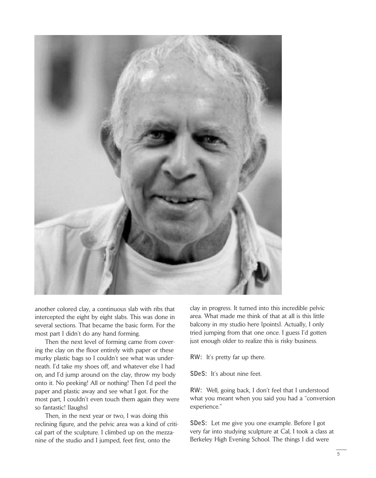

another colored clay, a continuous slab with ribs that intercepted the eight by eight slabs. This was done in several sections. That became the basic form. For the most part I didn't do any hand forming.

Then the next level of forming came from covering the clay on the floor entirely with paper or these murky plastic bags so I couldn't see what was underneath. I'd take my shoes off, and whatever else I had on, and I'd jump around on the clay, throw my body onto it. No peeking! All or nothing! Then I'd peel the paper and plastic away and see what I got. For the most part, I couldn't even touch them again they were so fantastic! [laughs]

Then, in the next year or two, I was doing this reclining figure, and the pelvic area was a kind of critical part of the sculpture. I climbed up on the mezzanine of the studio and I jumped, feet first, onto the

clay in progress. It turned into this incredible pelvic area. What made me think of that at all is this little balcony in my studio here [points]. Actually, I only tried jumping from that one once. I guess I'd gotten just enough older to realize this is risky business.

**RW:** It's pretty far up there.

**SDeS:** It's about nine feet.

**RW:** Well, going back, I don't feel that I understood what you meant when you said you had a "conversion experience."

**SDeS:** Let me give you one example. Before I got very far into studying sculpture at Cal, I took a class at Berkeley High Evening School. The things I did were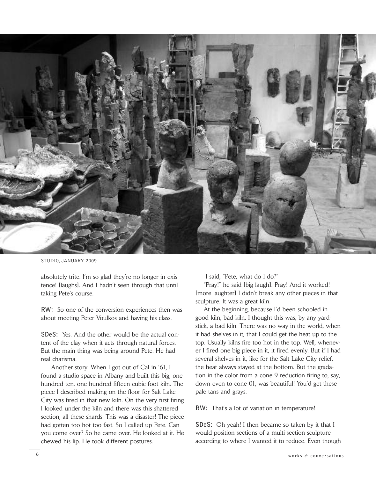

STUDIO, JANUARY 2009

absolutely trite. I'm so glad they're no longer in existence! [laughs]. And I hadn't seen through that until taking Pete's course.

**RW:** So one of the conversion experiences then was about meeting Peter Voulkos and having his class.

**SDeS:** Yes. And the other would be the actual content of the clay when it acts through natural forces. But the main thing was being around Pete. He had real charisma.

Another story. When I got out of Cal in '61, I found a studio space in Albany and built this big, one hundred ten, one hundred fifteen cubic foot kiln. The piece I described making on the floor for Salt Lake City was fired in that new kiln. On the very first firing I looked under the kiln and there was this shattered section, all these shards. This was a disaster! The piece had gotten too hot too fast. So I called up Pete. Can you come over? So he came over. He looked at it. He chewed his lip. He took different postures.

I said, "Pete, what do I do?"

"Pray!" he said [big laugh]. Pray! And it worked! [more laughter] I didn't break any other pieces in that sculpture. It was a great kiln.

At the beginning, because I'd been schooled in good kiln, bad kiln, I thought this was, by any yardstick, a bad kiln. There was no way in the world, when it had shelves in it, that I could get the heat up to the top. Usually kilns fire too hot in the top. Well, whenever I fired one big piece in it, it fired evenly. But if I had several shelves in it, like for the Salt Lake City relief, the heat always stayed at the bottom. But the gradation in the color from a cone 9 reduction firing to, say, down even to cone 01, was beautiful! You'd get these pale tans and grays.

**RW:** That's a lot of variation in temperature!

**SDeS:** Oh yeah! I then became so taken by it that I would position sections of a multi-section sculpture according to where I wanted it to reduce. Even though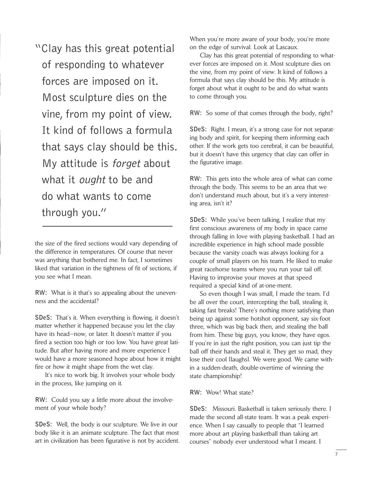"Clay has this great potential of responding to whatever forces are imposed on it. Most sculpture dies on the vine, from my point of view. It kind of follows a formula that says clay should be this. My attitude is forget about what it *ought* to be and do what wants to come through you."

the size of the fired sections would vary depending of the difference in temperatures. Of course that never was anything that bothered me. In fact, I sometimes liked that variation in the tightness of fit of sections, if you see what I mean.

**RW:** What is it that's so appealing about the unevenness and the accidental?

**SDeS:** That's it. When everything is flowing, it doesn't matter whether it happened because you let the clay have its head—now, or later. It doesn't matter if you fired a section too high or too low. You have great latitude. But after having more and more experience I would have a more seasoned hope about how it might fire or how it might shape from the wet clay.

It's nice to work big. It involves your whole body in the process, like jumping on it.

**RW:** Could you say a little more about the involvement of your whole body?

**SDeS:** Well, the body is our sculpture. We live in our body like it is an animate sculpture. The fact that most art in civilization has been figurative is not by accident. When you're more aware of your body, you're more on the edge of survival. Look at Lascaux.

Clay has this great potential of responding to whatever forces are imposed on it. Most sculpture dies on the vine, from my point of view. It kind of follows a formula that says clay should be this. My attitude is forget about what it ought to be and do what wants to come through you.

**RW:** So some of that comes through the body, right?

**SDeS:** Right. I mean, it's a strong case for not separating body and spirit, for keeping them informing each other. If the work gets too cerebral, it can be beautiful, but it doesn't have this urgency that clay can offer in the figurative image.

**RW:** This gets into the whole area of what can come through the body. This seems to be an area that we don't understand much about, but it's a very interesting area, isn't it?

**SDeS:** While you've been talking, I realize that my first conscious awareness of my body in space came through falling in love with playing basketball. I had an incredible experience in high school made possible because the varsity coach was always looking for a couple of small players on his team. He liked to make great racehorse teams where you run your tail off. Having to improvise your moves at that speed required a special kind of at-one-ment.

So even though I was small, I made the team. I'd be all over the court, intercepting the ball, stealing it, taking fast breaks! There's nothing more satisfying than being up against some hotshot opponent, say six-foot three, which was big back then, and stealing the ball from him. These big guys, you know, they have egos. If you're in just the right position, you can just tip the ball off their hands and steal it. They get so mad, they lose their cool [laughs]. We were good. We came within a sudden-death, double-overtime of winning the state championship!

**RW:** Wow! What state?

**SDeS:** Missouri. Basketball is taken seriously there. I made the second all-state team. It was a peak experience. When I say casually to people that "I learned more about art playing basketball than taking art courses" nobody ever understood what I meant. I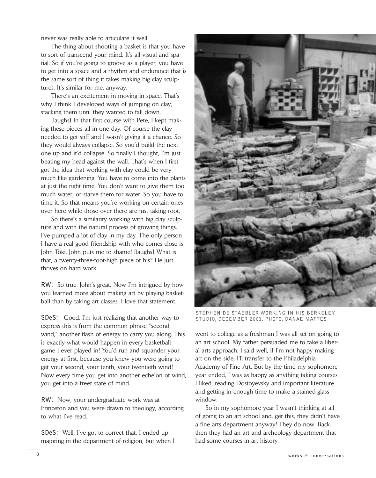never was really able to articulate it well.

The thing about shooting a basket is that you have to sort of transcend your mind. It's all visual and spatial. So if you're going to groove as a player, you have to get into a space and a rhythm and endurance that is the same sort of thing it takes making big clay sculptures. It's similar for me, anyway.

There's an excitement in moving in space. That's why I think I developed ways of jumping on clay, stacking them until they wanted to fall down.

[laughs] In that first course with Pete, I kept making these pieces all in one day. Of course the clay needed to get stiff and I wasn't giving it a chance. So they would always collapse. So you'd build the next one up and it'd collapse. So finally I thought, I'm just beating my head against the wall. That's when I first got the idea that working with clay could be very much like gardening. You have to come into the plants at just the right time. You don't want to give them too much water, or starve them for water. So you have to time it. So that means you're working on certain ones over here while those over there are just taking root.

So there's a similarity working with big clay sculpture and with the natural process of growing things. I've pumped a lot of clay in my day. The only person I have a real good friendship with who comes close is John Toki. John puts me to shame! [laughs] What is that, a twenty-three-foot-high piece of his? He just thrives on hard work.

**RW:** So true. John's great. Now I'm intrigued by how you learned more about making art by playing basketball than by taking art classes. I love that statement.

**SDeS:** Good. I'm just realizing that another way to express this is from the common phrase "second wind," another flash of energy to carry you along. This is exactly what would happen in every basketball game I ever played in! You'd run and squander your energy at first, because you knew you were going to get your second, your tenth, your twentieth wind! Now every time you get into another echelon of wind, you get into a freer state of mind.

**RW:** Now, your undergraduate work was at Princeton and you were drawn to theology, according to what I've read.

**SDeS:** Well, I've got to correct that. I ended up majoring in the department of religion, but when I



STEPHEN DE STAEBLER WORKING IN HIS BERKELEY STUDIO, DECEMBER 2001. PHOTO, DANAE MATTES

went to college as a freshman I was all set on going to an art school. My father persuaded me to take a liberal arts approach. I said well, if I'm not happy making art on the side, I'll transfer to the Philadelphia Academy of Fine Art. But by the time my sophomore year ended, I was as happy as anything taking courses I liked, reading Dostoyevsky and important literature and getting in enough time to make a stained-glass window.

So in my sophomore year I wasn't thinking at all of going to an art school and, get this, they didn't have a fine arts department anyway! They do now. Back then they had an art and archeology department that had some courses in art history.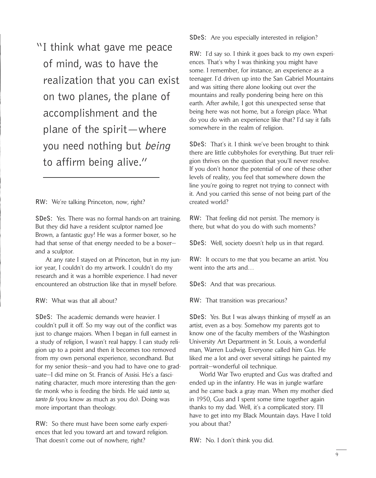"I think what gave me peace of mind, was to have the realization that you can exist on two planes, the plane of accomplishment and the plane of the spirit—where you need nothing but being to affirm being alive."

**RW:** We're talking Princeton, now, right?

**SDeS:** Yes. There was no formal hands-on art training. But they did have a resident sculptor named Joe Brown, a fantastic guy! He was a former boxer, so he had that sense of that energy needed to be a boxer and a sculptor.

At any rate I stayed on at Princeton, but in my junior year, I couldn't do my artwork. I couldn't do my research and it was a horrible experience. I had never encountered an obstruction like that in myself before.

**RW:** What was that all about?

**SDeS:** The academic demands were heavier. I couldn't pull it off. So my way out of the conflict was just to change majors. When I began in full earnest in a study of religion, I wasn't real happy. I can study religion up to a point and then it becomes too removed from my own personal experience, secondhand. But for my senior thesis—and you had to have one to graduate—I did mine on St. Francis of Assisi. He's a fascinating character, much more interesting than the gentle monk who is feeding the birds. He said *tanto sa, tanto fa* (you know as much as you do). Doing was more important than theology.

**RW:** So there must have been some early experiences that led you toward art and toward religion. That doesn't come out of nowhere, right?

**SDeS:** Are you especially interested in religion?

**RW:** I'd say so. I think it goes back to my own experiences. That's why I was thinking you might have some. I remember, for instance, an experience as a teenager. I'd driven up into the San Gabriel Mountains and was sitting there alone looking out over the mountains and really pondering being here on this earth. After awhile, I got this unexpected sense that being here was not home, but a foreign place. What do you do with an experience like that? I'd say it falls somewhere in the realm of religion.

**SDeS:** That's it. I think we've been brought to think there are little cubbyholes for everything. But truer religion thrives on the question that you'll never resolve. If you don't honor the potential of one of these other levels of reality, you feel that somewhere down the line you're going to regret not trying to connect with it. And you carried this sense of not being part of the created world?

**RW:** That feeling did not persist. The memory is there, but what do you do with such moments?

**SDeS:** Well, society doesn't help us in that regard.

**RW:** It occurs to me that you became an artist. You went into the arts and…

**SDeS:** And that was precarious.

**RW:** That transition was precarious?

**SDeS:** Yes. But I was always thinking of myself as an artist, even as a boy. Somehow my parents got to know one of the faculty members of the Washington University Art Department in St. Louis, a wonderful man, Warren Ludwig. Everyone called him Gus. He liked me a lot and over several sittings he painted my portrait—wonderful oil technique.

World War Two erupted and Gus was drafted and ended up in the infantry. He was in jungle warfare and he came back a gray man. When my mother died in 1950, Gus and I spent some time together again thanks to my dad. Well, it's a complicated story. I'll have to get into my Black Mountain days. Have I told you about that?

**RW:** No. I don't think you did.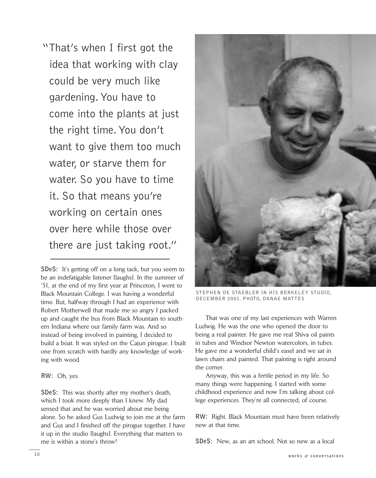"That's when I first got the idea that working with clay could be very much like gardening.You have to come into the plants at just the right time.You don't want to give them too much water, or starve them for water. So you have to time it. So that means you're working on certain ones over here while those over there are just taking root."

**SDeS:** It's getting off on a long tack, but you seem to be an indefatigable listener [laughs]. In the summer of '51, at the end of my first year at Princeton, I went to Black Mountain College. I was having a wonderful time. But, halfway through I had an experience with Robert Motherwell that made me so angry I packed up and caught the bus from Black Mountain to southern Indiana where our family farm was. And so instead of being involved in painting, I decided to build a boat. It was styled on the Cajun pirogue. I built one from scratch with hardly any knowledge of working with wood.

#### **RW:** Oh, yes.

**SDeS:** This was shortly after my mother's death, which I took more deeply than I knew. My dad sensed that and he was worried about me being alone. So he asked Gus Ludwig to join me at the farm and Gus and I finished off the pirogue together. I have it up in the studio [laughs]. Everything that matters to me is within a stone's throw!



STEPHEN DE STAEBLER IN HIS BERKELEY STUDIO, DECEMBER 2001. PHOTO, DANAE MATTES

That was one of my last experiences with Warren Ludwig. He was the one who opened the door to being a real painter. He gave me real Shiva oil paints in tubes and Windsor Newton watercolors, in tubes. He gave me a wonderful child's easel and we sat in lawn chairs and painted. That painting is right around the corner.

Anyway, this was a fertile period in my life. So many things were happening. I started with some childhood experience and now I'm talking about college experiences. They're all connected, of course.

**RW:** Right. Black Mountain must have been relatively new at that time.

**SDeS:** New, as an art school. Not so new as a local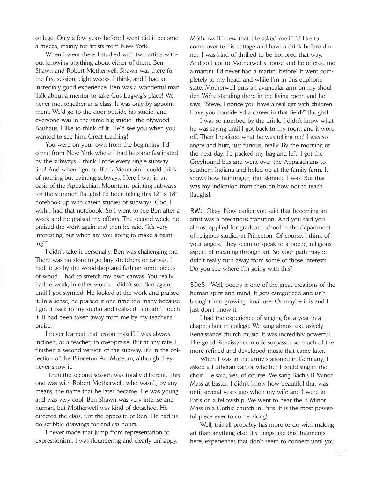college. Only a few years before I went did it become a mecca, mainly for artists from New York.

When I went there I studied with two artists without knowing anything about either of them, Ben Shawn and Robert Motherwell. Shawn was there for the first session, eight weeks, I think, and I had an incredibly good experience. Ben was a wonderful man. Talk about a mentor to take Gus Lugwig's place! We never met together as a class. It was only by appointment. We'd go to the door outside his studio, and everyone was in the same big studio—the plywood Bauhaus, I like to think of it. He'd see you when you wanted to see him. Great teaching!

You were on your own from the beginning. I'd come from New York where I had become fascinated by the subways. I think I rode every single subway line! And when I got to Black Mountain I could think of nothing but painting subways. Here I was in an oasis of the Appalachian Mountains painting subways for the summer! [laughs] I'd been filling this 12" x 18" notebook up with casein studies of subways. God, I wish I had that notebook! So I went to see Ben after a week and he praised my efforts. The second week, he praised the work again and then he said, "It's very interesting, but when are you going to make a painting?"

I didn't take it personally. Ben was challenging me. There was no store to go buy stretchers or canvas. I had to go by the woodshop and fashion some pieces of wood. I had to stretch my own canvas. You really had to work, in other words. I didn't see Ben again, until I got stymied. He looked at the work and praised it. In a sense, he praised it one time too many because I got it back to my studio and realized I couldn't touch it. It had been taken away from me by my teacher's praise.

I never learned that lesson myself. I was always inclined, as a teacher, to over-praise. But at any rate, I finished a second version of the subway. It's in the collection of the Princeton Art Museum, although they never show it.

Then the second session was totally different. This one was with Robert Motherwell, who wasn't, by any means, the name that he later became. He was young and was very cool. Ben Shawn was very intense and human, but Motherwell was kind of detached. He directed the class, just the opposite of Ben. He had us do scribble drawings for endless hours.

I never made that jump from representation to expressionism. I was floundering and clearly unhappy. Motherwell knew that. He asked me if I'd like to come over to his cottage and have a drink before dinner. I was kind of thrilled to be honored that way. And so I got to Motherwell's house and he offered me a martini. I'd never had a martini before! It went completely to my head, and while I'm in this euphoric state, Motherwell puts an avuncular arm on my shoulder. We're standing there in the living room and he says, "Steve, I notice you have a real gift with children. Have you considered a career in that field?" [laughs]

I was so numbed by the drink, I didn't know what he was saying until I got back to my room and it wore off. Then I realized what he was telling me! I was so angry and hurt, just furious, really. By the morning of the next day, I'd packed my bag and left. I got the Greyhound bus and went over the Appalachians to southern Indiana and holed up at the family farm. It shows how hair-trigger, thin-skinned I was. But that was my indication from then on how not to teach [laughs].

**RW:** Okay. Now earlier you said that becoming an artist was a precarious transition. And you said you almost applied for graduate school in the department of religious studies at Princeton. Of course, I think of your angels. They seem to speak to a poetic, religious aspect of meaning through art. So your path maybe didn't really turn away from some of those interests. Do you see where I'm going with this?

**SDeS:** Well, poetry is one of the great creations of the human spirit and mind. It gets categorized and isn't brought into growing ritual use. Or maybe it is and I just don't know it.

I had the experience of singing for a year in a chapel choir in college. We sang almost exclusively Renaissance church music. It was incredibly powerful. The good Renaissance music surpasses so much of the more refined and developed music that came later.

When I was in the army stationed in Germany, I asked a Lutheran cantor whether I could sing in the choir. He said, yes, of course. We sang Bach's B Minor Mass at Easter. I didn't know how beautiful that was until several years ago when my wife and I were in Paris on a fellowship. We went to hear the B Minor Mass in a Gothic church in Paris. It is the most powerful piece ever to come along!

Well, this all probably has more to do with making art than anything else. It's things like this, fragments here, experiences that don't seem to connect until you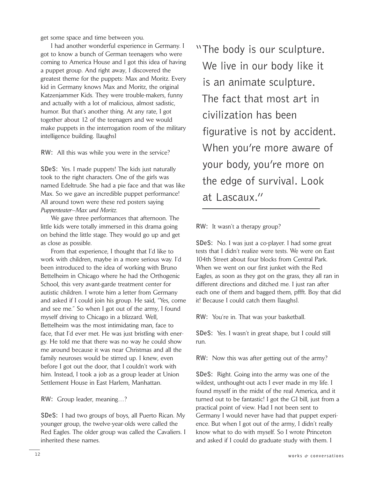get some space and time between you.

I had another wonderful experience in Germany. I got to know a bunch of German teenagers who were coming to America House and I got this idea of having a puppet group. And right away, I discovered the greatest theme for the puppets: Max and Moritz. Every kid in Germany knows Max and Moritz, the original Katzenjammer Kids. They were trouble-makers, funny and actually with a lot of malicious, almost sadistic, humor. But that's another thing. At any rate, I got together about 12 of the teenagers and we would make puppets in the interrogation room of the military intelligence building. [laughs]

**RW:** All this was while you were in the service?

**SDeS:** Yes. I made puppets! The kids just naturally took to the right characters. One of the girls was named Edeltrude. She had a pie face and that was like Max. So we gave an incredible puppet performance! All around town were these red posters saying *Puppenteater—Max und Moritz*.

We gave three performances that afternoon. The little kids were totally immersed in this drama going on behind the little stage. They would go up and get as close as possible.

From that experience, I thought that I'd like to work with children, maybe in a more serious way. I'd been introduced to the idea of working with Bruno Bettelheim in Chicago where he had the Orthogenic School, this very avant-garde treatment center for autistic children. I wrote him a letter from Germany and asked if I could join his group. He said, "Yes, come and see me." So when I got out of the army, I found myself driving to Chicago in a blizzard. Well, Bettelheim was the most intimidating man, face to face, that I'd ever met. He was just bristling with energy. He told me that there was no way he could show me around because it was near Christmas and all the family neuroses would be stirred up. I knew, even before I got out the door, that I couldn't work with him. Instead, I took a job as a group leader at Union Settlement House in East Harlem, Manhattan.

**RW:** Group leader, meaning…?

**SDeS:** I had two groups of boys, all Puerto Rican. My younger group, the twelve-year-olds were called the Red Eagles. The older group was called the Cavaliers. I inherited these names.

"The body is our sculpture. We live in our body like it is an animate sculpture. The fact that most art in civilization has been figurative is not by accident. When you're more aware of your body, you're more on the edge of survival. Look at Lascaux."

**RW:** It wasn't a therapy group?

**SDeS:** No. I was just a co-player. I had some great tests that I didn't realize were tests. We were on East 104th Street about four blocks from Central Park. When we went on our first junket with the Red Eagles, as soon as they got on the grass, they all ran in different directions and ditched me. I just ran after each one of them and bagged them, pffft. Boy that did it! Because I could catch them [laughs].

**RW:** You're in. That was your basketball.

**SDeS:** Yes. I wasn't in great shape, but I could still run.

**RW:** Now this was after getting out of the army?

**SDeS:** Right. Going into the army was one of the wildest, unthought-out acts I ever made in my life. I found myself in the midst of the real America, and it turned out to be fantastic! I got the GI bill, just from a practical point of view. Had I not been sent to Germany I would never have had that puppet experience. But when I got out of the army, I didn't really know what to do with myself. So I wrote Princeton and asked if I could do graduate study with them. I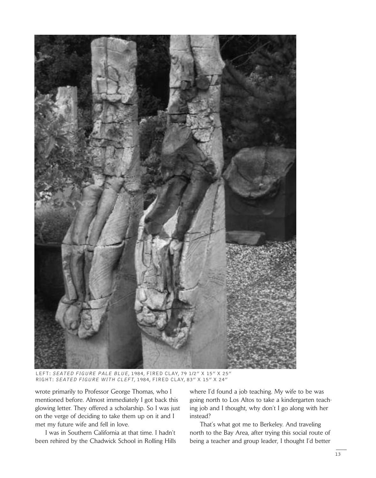

LEFT: SEATED FIGURE PALE BLUE, 1984, FIRED CLAY, 79 1/2" X 15" X 25" RIGHT: SEATED FIGURE WITH CLEFT, 1984, FIRED CLAY, 83" X 15" X 24"

wrote primarily to Professor George Thomas, who I mentioned before. Almost immediately I got back this glowing letter. They offered a scholarship. So I was just on the verge of deciding to take them up on it and I met my future wife and fell in love.

I was in Southern California at that time. I hadn't been rehired by the Chadwick School in Rolling Hills where I'd found a job teaching. My wife to be was going north to Los Altos to take a kindergarten teaching job and I thought, why don't I go along with her instead?

That's what got me to Berkeley. And traveling north to the Bay Area, after trying this social route of being a teacher and group leader, I thought I'd better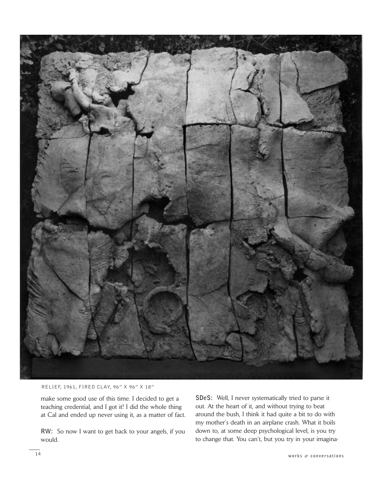

RELIEF, 1961, FIRED CLAY, 96" X 96" X 18"

make some good use of this time. I decided to get a teaching credential, and I got it! I did the whole thing at Cal and ended up never using it, as a matter of fact.

**RW:** So now I want to get back to your angels, if you would.

**SDeS:** Well, I never systematically tried to parse it out. At the heart of it, and without trying to beat around the bush, I think it had quite a bit to do with my mother's death in an airplane crash. What it boils down to, at some deep psychological level, is you try to change that. You can't, but you try in your imagina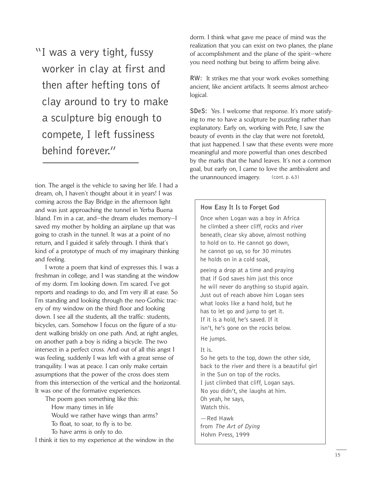"I was a very tight, fussy worker in clay at first and then after hefting tons of clay around to try to make a sculpture big enough to compete, I left fussiness behind forever."

tion. The angel is the vehicle to saving her life. I had a dream, oh, I haven't thought about it in years! I was coming across the Bay Bridge in the afternoon light and was just approaching the tunnel in Yerba Buena Island. I'm in a car, and—the dream eludes memory—I saved my mother by holding an airplane up that was going to crash in the tunnel. It was at a point of no return, and I guided it safely through. I think that's kind of a prototype of much of my imaginary thinking and feeling.

I wrote a poem that kind of expresses this. I was a freshman in college, and I was standing at the window of my dorm. I'm looking down. I'm scared. I've got reports and readings to do, and I'm very ill at ease. So I'm standing and looking through the neo-Gothic tracery of my window on the third floor and looking down. I see all the students, all the traffic: students, bicycles, cars. Somehow I focus on the figure of a student walking briskly on one path. And, at right angles, on another path a boy is riding a bicycle. The two intersect in a perfect cross. And out of all this angst I was feeling, suddenly I was left with a great sense of tranquility. I was at peace. I can only make certain assumptions that the power of the cross does stem from this intersection of the vertical and the horizontal. It was one of the formative experiences.

The poem goes something like this: How many times in life Would we rather have wings than arms? To float, to soar, to fly is to be. To have arms is only to do.

I think it ties to my experience at the window in the

dorm. I think what gave me peace of mind was the realization that you can exist on two planes, the plane of accomplishment and the plane of the spirit—where you need nothing but being to affirm being alive.

**RW:** It strikes me that your work evokes something ancient, like ancient artifacts. It seems almost archeological.

**SDeS:** Yes. I welcome that response. It's more satisfying to me to have a sculpture be puzzling rather than explanatory. Early on, working with Pete, I saw the beauty of events in the clay that were not foretold, that just happened. I saw that these events were more meaningful and more powerful than ones described by the marks that the hand leaves. It's not a common goal, but early on, I came to love the ambivalent and the unannounced imagery. (cont. p. 63)

#### **How Easy It Is to Forget God**

Once when Logan was a boy in Africa he climbed a sheer cliff, rocks and river beneath, clear sky above, almost nothing to hold on to. He cannot go down, he cannot go up, so for 30 minutes he holds on in a cold soak,

peeing a drop at a time and praying that if God saves him just this once he will never do anything so stupid again. Just out of reach above him Logan sees what looks like a hand hold, but he has to let go and jump to get it. If it is a hold, he's saved. If it isn't, he's gone on the rocks below.

### He jumps.

#### It is.

So he gets to the top, down the other side, back to the river and there is a beautiful girl in the Sun on top of the rocks. I just climbed that cliff, Logan says. No you didn't, she laughs at him. Oh yeah, he says, Watch this.

—Red Hawk from The Art of Dying Hohm Press, 1999